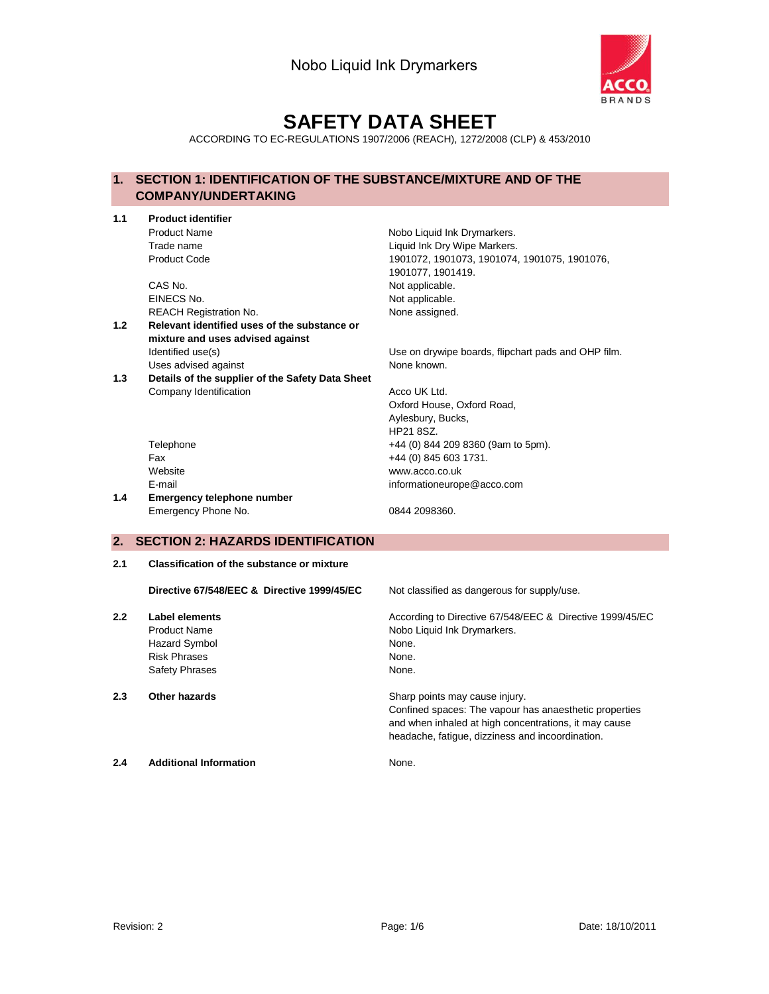

# **SAFETY DATA SHEET**

ACCORDING TO EC-REGULATIONS 1907/2006 (REACH), 1272/2008 (CLP) & 453/2010

## **1. SECTION 1: IDENTIFICATION OF THE SUBSTANCE/MIXTURE AND OF THE COMPANY/UNDERTAKING**

| 1.1 | <b>Product identifier</b>                         |                                                          |
|-----|---------------------------------------------------|----------------------------------------------------------|
|     | <b>Product Name</b>                               | Nobo Liquid Ink Drymarkers.                              |
|     | Trade name                                        | Liquid Ink Dry Wipe Markers.                             |
|     | <b>Product Code</b>                               | 1901072, 1901073, 1901074, 1901075, 1901076,             |
|     |                                                   | 1901077, 1901419.                                        |
|     | CAS No.                                           | Not applicable.                                          |
|     | EINECS No.                                        | Not applicable.                                          |
|     | <b>REACH Registration No.</b>                     | None assigned.                                           |
| 1.2 | Relevant identified uses of the substance or      |                                                          |
|     | mixture and uses advised against                  |                                                          |
|     | Identified use(s)                                 | Use on drywipe boards, flipchart pads and OHP film.      |
|     | Uses advised against                              | None known.                                              |
| 1.3 | Details of the supplier of the Safety Data Sheet  |                                                          |
|     | Company Identification                            | Acco UK Ltd.                                             |
|     |                                                   | Oxford House, Oxford Road,                               |
|     |                                                   | Aylesbury, Bucks,                                        |
|     |                                                   | HP21 8SZ.                                                |
|     | Telephone                                         | +44 (0) 844 209 8360 (9am to 5pm).                       |
|     | Fax                                               | +44 (0) 845 603 1731.                                    |
|     | Website                                           | www.acco.co.uk                                           |
|     | E-mail                                            | informationeurope@acco.com                               |
| 1.4 | Emergency telephone number                        |                                                          |
|     | Emergency Phone No.                               | 0844 2098360.                                            |
|     |                                                   |                                                          |
| 2.  | <b>SECTION 2: HAZARDS IDENTIFICATION</b>          |                                                          |
| 2.1 | <b>Classification of the substance or mixture</b> |                                                          |
|     |                                                   |                                                          |
|     | Directive 67/548/EEC & Directive 1999/45/EC       | Not classified as dangerous for supply/use.              |
| 2.2 | Label elements                                    | According to Directive 67/548/EEC & Directive 1999/45/EC |
|     | <b>Product Name</b>                               | Nobo Liquid Ink Drymarkers.                              |
|     | <b>Hazard Symbol</b>                              | None.                                                    |
|     | <b>Risk Phrases</b>                               | None.                                                    |
|     | <b>Safety Phrases</b>                             | None.                                                    |
|     |                                                   |                                                          |
| 2.3 | Other hazards                                     | Sharp points may cause injury.                           |

Confined spaces: The vapour has anaesthetic properties and when inhaled at high concentrations, it may cause headache, fatigue, dizziness and incoordination.

**2.4 Additional Information** None.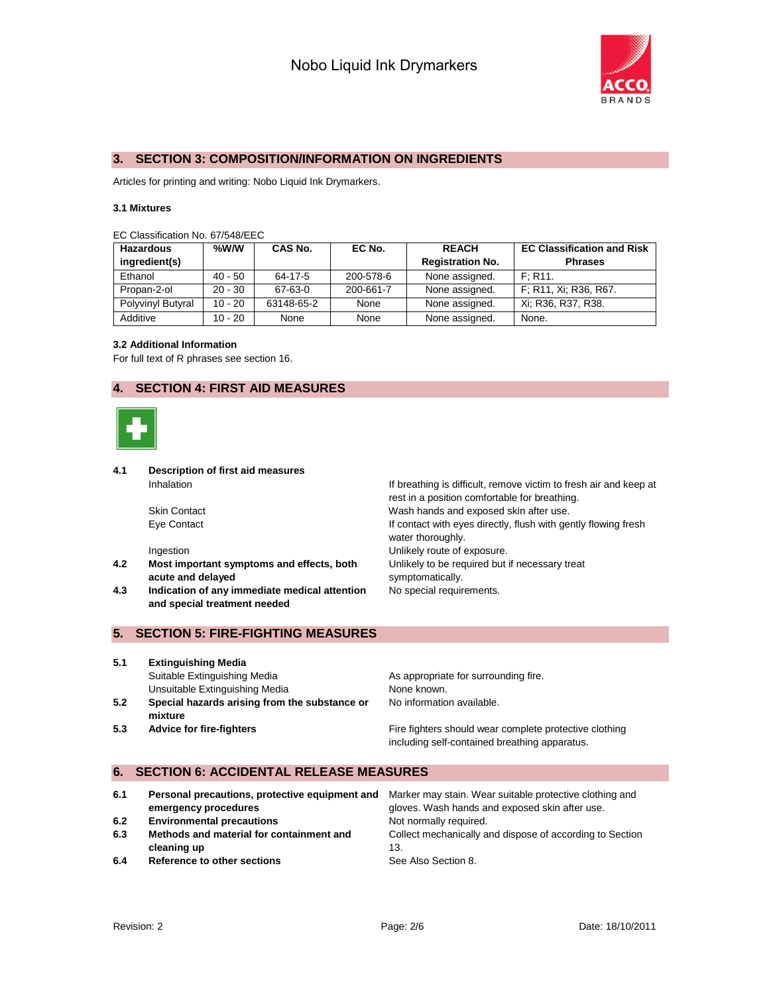

#### **3. SECTION 3: COMPOSITION/INFORMATION ON INGREDIENTS**

Articles for printing and writing: Nobo Liquid Ink Drymarkers.

#### **3.1 Mixtures**

| EC Classification No. 67/548/EEC |  |  |
|----------------------------------|--|--|
|----------------------------------|--|--|

| Hazardous<br>ingredient(s) | %W/W      | CAS No.    | EC No.    | <b>REACH</b><br><b>Registration No.</b> | <b>EC Classification and Risk</b><br><b>Phrases</b> |
|----------------------------|-----------|------------|-----------|-----------------------------------------|-----------------------------------------------------|
| Ethanol                    | 40 - 50   | 64-17-5    | 200-578-6 | None assigned.                          | F: R11.                                             |
| Propan-2-ol                | $20 - 30$ | 67-63-0    | 200-661-7 | None assigned.                          | F: R11, Xi: R36, R67.                               |
| Polyvinyl Butyral          | $10 - 20$ | 63148-65-2 | None      | None assigned.                          | Xi; R36, R37, R38.                                  |
| Additive                   | $10 - 20$ | None       | None      | None assigned.                          | None.                                               |

#### **3.2 Additional Information**

For full text of R phrases see section 16.

## **4. SECTION 4: FIRST AID MEASURES**



**4.1 Description of first aid measures**

- **4.2 Most important symptoms and effects, both acute and delayed**
- **4.3 Indication of any immediate medical attention and special treatment needed**

Inhalation Inhalation Intervelse at the Infection of the Infection of the Infection of the Indian Indian Indian Indian Indian Indian Indian Indian Indian Indian Indian Indian Indian Indian Indian Indian Indian Indian India rest in a position comfortable for breathing. Skin Contact Wash hands and exposed skin after use. Eye Contact If contact with eyes directly, flush with gently flowing fresh water thoroughly. Ingestion **Intervellet Contract Contract Contract Contract Contract Contract Contract Contract Contract Contract Contract Contract Contract Contract Contract Contract Contract Contract Contract Contract Contract Contract C** Unlikely to be required but if necessary treat symptomatically. No special requirements.

#### **5. SECTION 5: FIRE-FIGHTING MEASURES**

- **5.1 Extinguishing Media** Suitable Extinguishing Media **As appropriate for surrounding fire.** Unsuitable Extinguishing Media None known. **5.2 Special hazards arising from the substance or mixture** No information available.
- **5.3 Advice for fire-fighters Fire fighters** Fire fighters should wear complete protective clothing including self-contained breathing apparatus.

#### **6. SECTION 6: ACCIDENTAL RELEASE MEASURES**

| 6.1 | Personal precautions, protective equipment and | Marker may stain. Wear suitable protective clothing and  |
|-----|------------------------------------------------|----------------------------------------------------------|
|     | emergency procedures                           | gloves. Wash hands and exposed skin after use.           |
| 6.2 | <b>Environmental precautions</b>               | Not normally required.                                   |
| 6.3 | Methods and material for containment and       | Collect mechanically and dispose of according to Section |
|     | cleaning up                                    | 13.                                                      |
| 6.4 | Reference to other sections                    | See Also Section 8.                                      |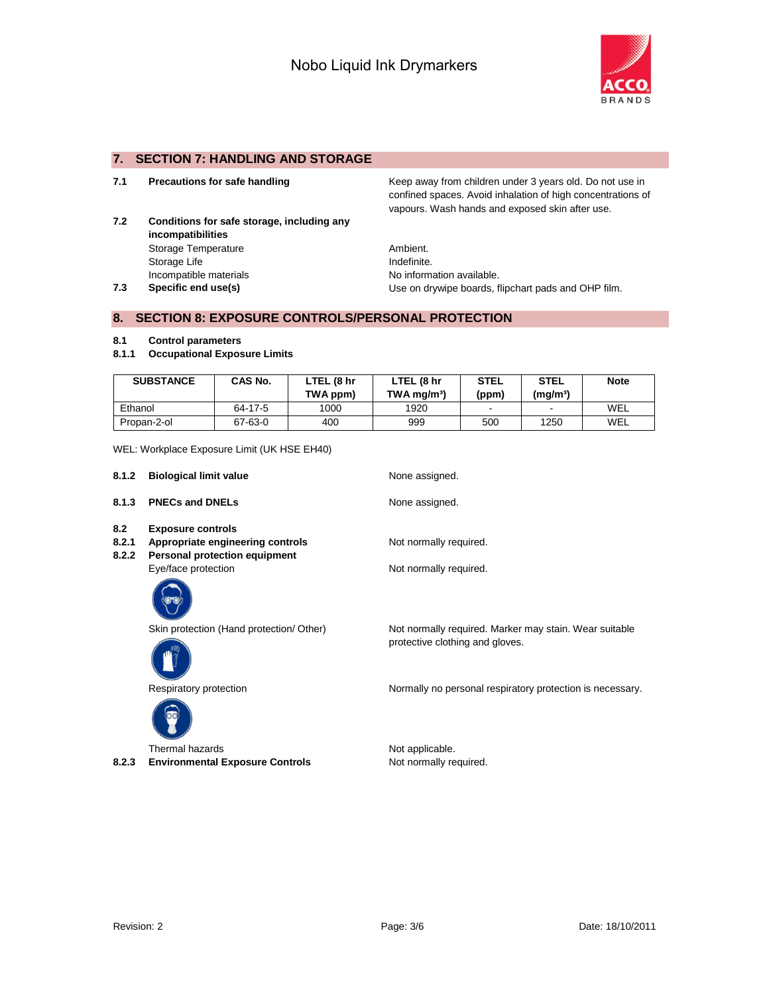

## **7. SECTION 7: HANDLING AND STORAGE**

- 
- **7.2 Conditions for safe storage, including any incompatibilities** Storage Temperature **Ambient.** Storage Life **Indefinite.** Incompatible materials **No information available**.

**7.1 Precautions for safe handling The Reep away from children under 3 years old. Do not use in** confined spaces. Avoid inhalation of high concentrations of vapours. Wash hands and exposed skin after use.

**7.3 Specific end use(s)** Use on drywipe boards, flipchart pads and OHP film.

#### **8. SECTION 8: EXPOSURE CONTROLS/PERSONAL PROTECTION**

#### **8.1 Control parameters**

**8.1.1 Occupational Exposure Limits**

| <b>SUBSTANCE</b> | CAS No. | LTEL (8 hr<br>TWA ppm) | LTEL (8 hr<br>$TWA$ mg/m <sup>3</sup> ) | <b>STEL</b><br>(ppm) | <b>STEL</b><br>(mq/m <sup>3</sup> ) | <b>Note</b> |
|------------------|---------|------------------------|-----------------------------------------|----------------------|-------------------------------------|-------------|
| Ethanol          | 64-17-5 | 1000                   | 1920                                    | -                    | $\sim$                              | WEL         |
| Propan-2-ol      | 67-63-0 | 400                    | 999                                     | 500                  | 1250                                | WEL         |

#### WEL: Workplace Exposure Limit (UK HSE EH40)

| 8.1.2                 | <b>Biological limit value</b>                                                                        | None assigned.                                                                            |
|-----------------------|------------------------------------------------------------------------------------------------------|-------------------------------------------------------------------------------------------|
| 8.1.3                 | <b>PNECs and DNELs</b>                                                                               | None assigned.                                                                            |
| 8.2<br>8.2.1<br>8.2.2 | <b>Exposure controls</b><br>Appropriate engineering controls<br><b>Personal protection equipment</b> | Not normally required.                                                                    |
|                       | Eye/face protection                                                                                  | Not normally required.                                                                    |
|                       |                                                                                                      |                                                                                           |
|                       | Skin protection (Hand protection/ Other)                                                             | Not normally required. Marker may stain. Wear suitable<br>protective clothing and gloves. |
|                       | Respiratory protection                                                                               | Normally no personal respiratory protection is necessary.                                 |
|                       |                                                                                                      |                                                                                           |

Thermal hazards **Not applicable.** Not applicable. 8.2.3 **Environmental Exposure Controls** Not normally required.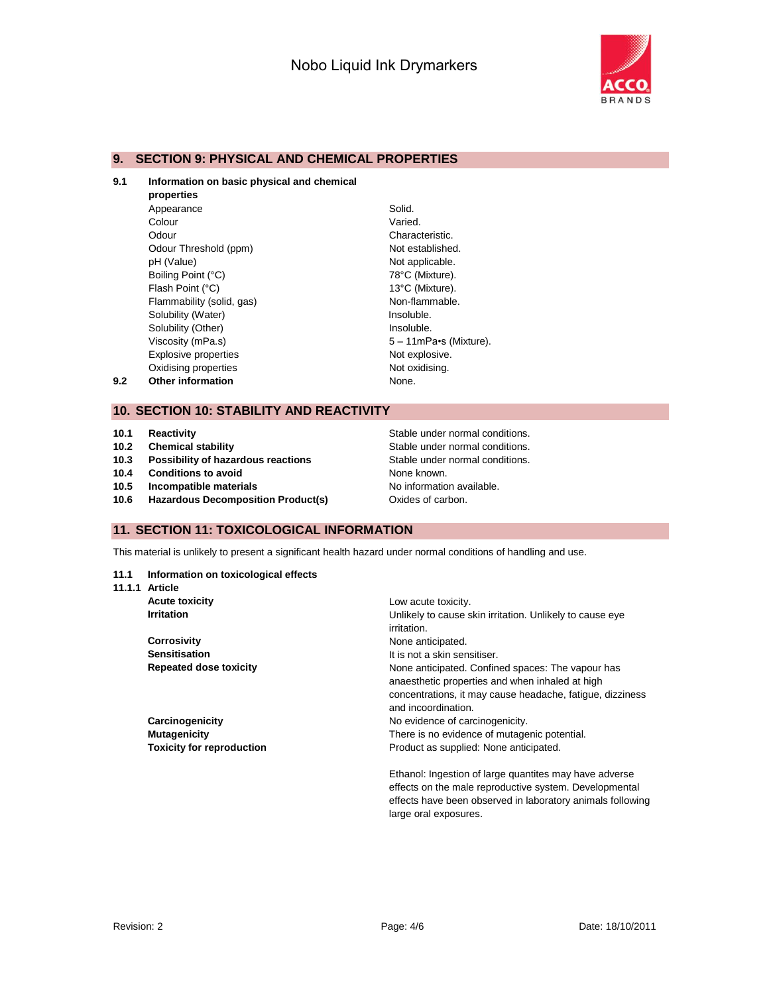Varied. Characteristic. Not established. Not applicable. 78°C (Mixture). 13°C (Mixture). Non-flammable. Insoluble. Insoluble.



#### **9. SECTION 9: PHYSICAL AND CHEMICAL PROPERTIES**

#### **9.1 Information on basic physical and chemical**

|     | properties                  |                |
|-----|-----------------------------|----------------|
|     | Appearance                  | Solid.         |
|     | Colour                      | Varied         |
|     | Odour                       | Chara          |
|     | Odour Threshold (ppm)       | Not es         |
|     | pH (Value)                  | Not ap         |
|     | Boiling Point (°C)          | 78°C           |
|     | Flash Point (°C)            | $13^{\circ}$ C |
|     | Flammability (solid, gas)   | Non-fl         |
|     | Solubility (Water)          | Insolu         |
|     | Solubility (Other)          | Insolu         |
|     | Viscosity (mPa.s)           | $5 - 11$       |
|     | <b>Explosive properties</b> | Not ex         |
|     | Oxidising properties        | Not ox         |
| 9.2 | <b>Other information</b>    | None.          |
|     |                             |                |

#### **10. SECTION 10: STABILITY AND REACTIVITY**

- 
- 
- **10.3 Possibility of hazardous reactions Stable under normal conditions.**
- **10.4 Conditions to avoid** None known.
- **10.5 Incompatible materials 10.5 Incompatible materials No information available.**
- **10.6 Hazardous Decomposition Product(s)** Oxides of carbon.

**10.1 Reactivity 10.1 Reactivity Stable under normal conditions. 10.2 Chemical stability 10.2 Chemical stability Stable under normal conditions.** 

 $5 - 11$ mPa•s (Mixture). Not explosive. Not oxidising.

#### **11. SECTION 11: TOXICOLOGICAL INFORMATION**

This material is unlikely to present a significant health hazard under normal conditions of handling and use.

#### **11.1 Information on toxicological effects**

**11.1.1 Article**

| <b>Acute toxicity</b>            | Low acute toxicity.                                       |
|----------------------------------|-----------------------------------------------------------|
| <b>Irritation</b>                | Unlikely to cause skin irritation. Unlikely to cause eye  |
|                                  | irritation.                                               |
| <b>Corrosivity</b>               | None anticipated.                                         |
| <b>Sensitisation</b>             | It is not a skin sensitiser.                              |
| <b>Repeated dose toxicity</b>    | None anticipated. Confined spaces: The vapour has         |
|                                  | anaesthetic properties and when inhaled at high           |
|                                  | concentrations, it may cause headache, fatique, dizziness |
|                                  | and incoordination.                                       |
| Carcinogenicity                  | No evidence of carcinogenicity.                           |
| <b>Mutagenicity</b>              | There is no evidence of mutagenic potential.              |
| <b>Toxicity for reproduction</b> | Product as supplied: None anticipated.                    |
|                                  | Ethanol: Ingestion of large quantites may have adverse    |
|                                  | effects on the male reproductive system. Developmental    |

effects on the male reproductive system. Developmental effects have been observed in laboratory animals following large oral exposures.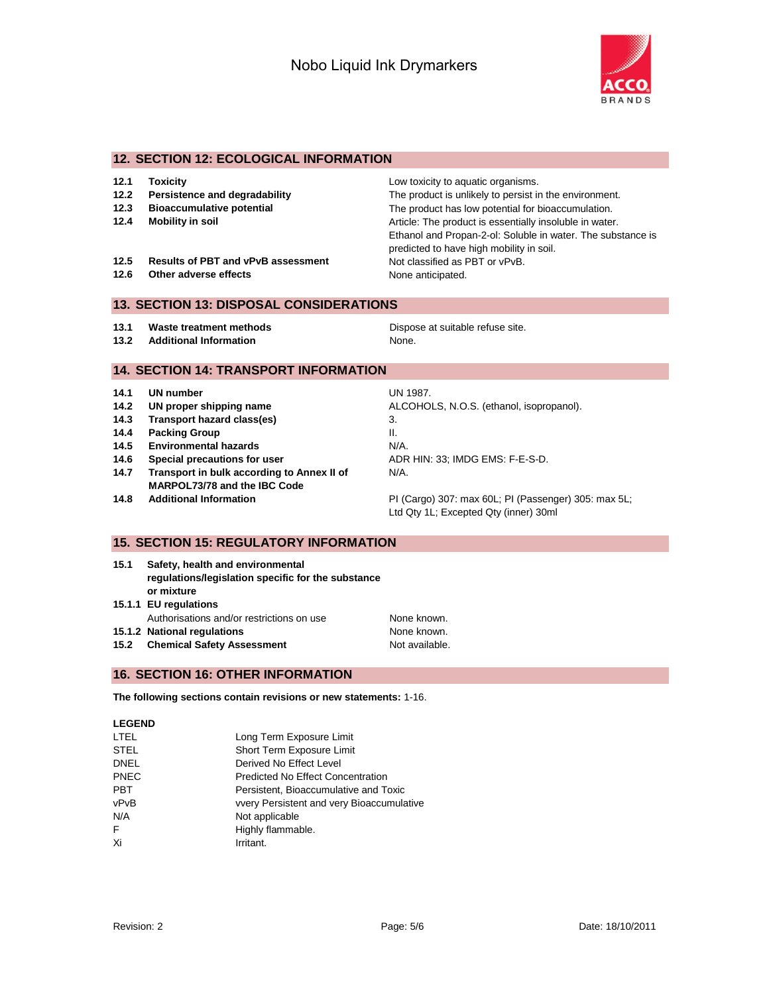

#### **12. SECTION 12: ECOLOGICAL INFORMATION**

| 12.1 | Toxicity |
|------|----------|
|------|----------|

- 
- 
- 
- 12.5 **Results of PBT and vPvB assessment** Not classified as PBT or vPvB.
- **12.6** Other adverse effects None anticipated.

**12.1 Toxicity** Low toxicity to aquatic organisms. **12.2 Persistence and degradability** The product is unlikely to persist in the environment. **12.3 Bioaccumulative potential** The product has low potential for bioaccumulation. **12.4 Mobility in soil 12.4 Mobility in soluble 12.4** Mobility in soluble in water. Ethanol and Propan-2-ol: Soluble in water. The substance is predicted to have high mobility in soil.

## **13. SECTION 13: DISPOSAL CONSIDERATIONS**

- **13.1 Waste treatment methods Dispose at suitable refuse site.**
- **13.2 Additional Information None.** None.

## **14. SECTION 14: TRANSPORT INFORMATION**

- **14.1 UN number** UN 1987.
- 
- **14.3 Transport hazard class(es)** 3.
- **14.4 Packing Group II.** II.
- **14.5 Environmental hazards** N/A.
- **14.6 Special precautions for user ADR HIN: 33; IMDG EMS: F-E-S-D.**
- **14.7 Transport in bulk according to Annex II of MARPOL73/78 and the IBC Code**
- 

**14.2 UN proper shipping name** ALCOHOLS, N.O.S. (ethanol, isopropanol). N/A.

**14.8 Additional Information** PI (Cargo) 307: max 60L; PI (Passenger) 305: max 5L; Ltd Qty 1L; Excepted Qty (inner) 30ml

#### **15. SECTION 15: REGULATORY INFORMATION**

- **15.1 Safety, health and environmental regulations/legislation specific for the substance or mixture**
- **15.1.1 EU regulations**
- Authorisations and/or restrictions on use None known.
- **15.1.2 National regulations** None known.
- **15.2 Chemical Safety Assessment** Not available.

## **16. SECTION 16: OTHER INFORMATION**

**The following sections contain revisions or new statements:** 1-16.

#### **LEGEND**

| LTEL | Long Term Exposure Limit                  |
|------|-------------------------------------------|
| STEL | Short Term Exposure Limit                 |
| DNEL | Derived No Effect Level                   |
| PNEC | <b>Predicted No Effect Concentration</b>  |
| PBT  | Persistent, Bioaccumulative and Toxic     |
| vPvB | vvery Persistent and very Bioaccumulative |
| N/A  | Not applicable                            |
| F.   | Highly flammable.                         |
| Xi   | Irritant.                                 |
|      |                                           |